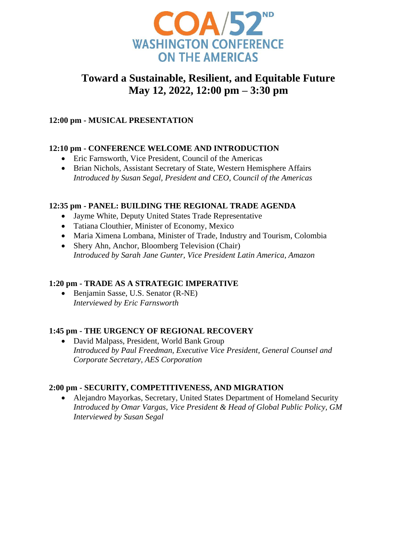

# **Toward a Sustainable, Resilient, and Equitable Future May 12, 2022, 12:00 pm – 3:30 pm**

## **12:00 pm - MUSICAL PRESENTATION**

## **12:10 pm - CONFERENCE WELCOME AND INTRODUCTION**

- Eric Farnsworth, Vice President, Council of the Americas
- Brian Nichols, Assistant Secretary of State, Western Hemisphere Affairs *Introduced by Susan Segal, President and CEO, Council of the Americas*

### **12:35 pm - PANEL: BUILDING THE REGIONAL TRADE AGENDA**

- Jayme White, Deputy United States Trade Representative
- Tatiana Clouthier, Minister of Economy, Mexico
- Maria Ximena Lombana, Minister of Trade, Industry and Tourism, Colombia
- Shery Ahn, Anchor, Bloomberg Television (Chair) *Introduced by Sarah Jane Gunter, Vice President Latin America, Amazon*

### **1:20 pm - TRADE AS A STRATEGIC IMPERATIVE**

• Benjamin Sasse, U.S. Senator (R-NE) *Interviewed by Eric Farnsworth* 

## **1:45 pm - THE URGENCY OF REGIONAL RECOVERY**

• David Malpass, President, World Bank Group *Introduced by Paul Freedman, Executive Vice President, General Counsel and Corporate Secretary, AES Corporation* 

## **2:00 pm - SECURITY, COMPETITIVENESS, AND MIGRATION**

• Alejandro Mayorkas, Secretary, United States Department of Homeland Security *Introduced by Omar Vargas, Vice President & Head of Global Public Policy, GM Interviewed by Susan Segal*